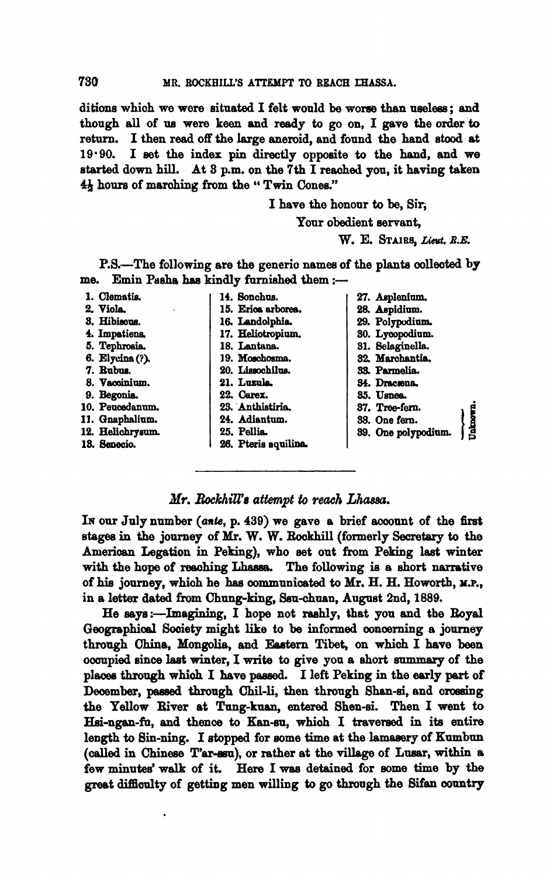ditions which we were situated I felt would be worse than useless; and though **all** of **ua** were keen and ready to go on, I gave the order **to**  I then read off the large aneroid, and found the hand stood at **19-90.** I aet the index pin directly oppoaite to the hand, and we **etarted** down hill. **At 3** p.m. on the 7th I **reaohd** you, it having taken  $4\frac{1}{2}$  hours of marching from the "Twin Cones."

> I have the honour to be, Sir; Your obedient servant, W. E. STAIRS, *Lieut*, R.E.

P.B.-The following are the generio names of the planta oolleoted **by**  me. Emin Pasha has kindly furnished them :-

1. **Clematis**.

**2. Viola** 

**8. Hibisaue.** 

*I* **Impatiens,** 

- 5. Tephrosia.
- **e. ~iyc?fna(?).**
- **7. Buh**
- 8. Vaccinium.
- **9. Begonia**
- 10. Peucedanum.
- **11. Qnaphalium.**
- 12. **Helichrysum.**
- **la Seneoia**

14. **Sonchus. 15. Erica erboree.**  16. Landolphia. **17. Heliotropiun, 18. Lantana.**  19. **Moschosma.** 20. Lissochilus. 21. Luzula.

- **22. oarex.**
- 23. Anthistiria.
- **24. Adisntum.**
- **25. Pellia**
- 26. Pteris aquilina.
- **27. Aspleniam. 28. Aspidiom.**  29. Polypodium. **80. Lpopodinm. 81. 8elegindle.**  32. Marchantia. 33. Parmelia. 84. **Dracsona. 85. Uenea 87. Treefern.**  88. One fern.<br>**89. One polypodium.**

## **Xr.** *RockhdZ'a attempt* **to reach** *Llucssa.*

In our July number (ante, p. 439) we gave a brief account of the first stages in the journey of Mr. W. W. Rockhill (formerly Secretary to the Aruerioan Legation in Peking), who set out from Peking laat **winter**  with the hope of reaching Lhassa. The following is a short narrative of **his** journey, whioh he **has** oommnniated to **Mr.** H. H. Howorth, **M.P.,**  in a letter dated **from** Chung-king, Sen-chuan, August 2nd, 1889.

He says:-Imagining, I hope not rashly, that you and the Royal Geographical Society might like to be informed concerning a journey through China, Mongolie, and Eastern **Tibet,** on which I have **been**  ooanpied **eince** last **winter,** I **write** to give you a ehort summary of the plaoee through whioh I have **pawed,** I left Peking in the early **part** of Deaember, **paeeed** through **ahil-li,** then through Shan-a, and **oroseing**  the Yellow River at Tung-kuan, entered Shen-si. Then I went to Hai-ngen-fu, and thence to Kan-au, whioh I traversed in its **entire**  length to Sin-ning. I stopped for some time at the lamasery of Kumbun (called in Chinese T'ar-ssu), or rather at the village of Lusar, within a few minutes' walk of it. Here I was detained for some time by the great difficulty of getting men willing to go through the Sifan country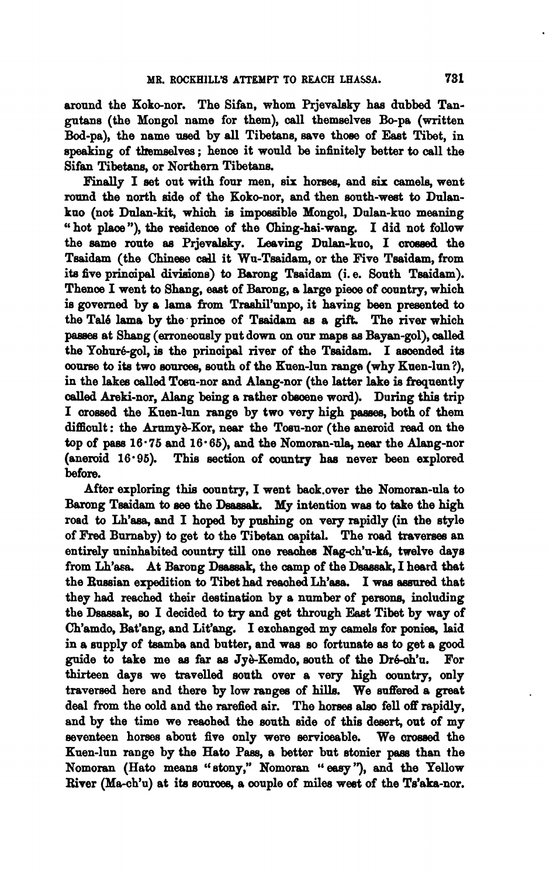around the Koko-nor. The Sifan, whom Prjevalsky has dubbed Tangutans (the Mongol name for them), call themselves Bo-pa (written Bod-pa), the name used by all Tibetans, save those of East Tibet, in speaking of themselves ; hence it would be infinitely better to call the Sifan Tibetans, or Northern Tibetans.

Finally I set out with four men, six horses, and **six** camela, went round the north aide of the Koko-nor, and then south-weat to Dulankuo (not Dulan-kit, which is impossible Mongol, Dulan-kuo meaning " hot place"), the residence of the Ching-hai-wang. I did not follow the same route as Prjevalsky. Leaving Dulan-kuo, I crossed the Tsaidam (the Chinese call it Wu-Tsaidam, or the Five Tsaidam, from its five principal divisions) to Barong Tsaidam (i.e. South Tsaidam). Thence I went to Shang, east of Barong, a large piece of country, which is governed by a lama from Trashil'unpo, it having been presented to the Tale leme by the. prince of Tsai&m as a gift. The **river** which **passea** at Shang (erroneously put down **on** our **maps** as Bayan-gol), oalled the Yohuré-gol, is the principal river of the Tsaidam. I ascended its **oourw** to ita two murcea, south of the Kuen-lun **range** (why Knen-lun?), in the lakes called Tosu-nor and Alang-nor (the latter lake is frequently ded breki-nor, Alang being a rather obeoene **word).** During **thie** trip I oroeaed the Kuen-Inn range by **two** very high paaaea, both of them difficult: the Arumyè-Kor, near the Tosu-nor (the aneroid read on the top of pass  $16.75$  and  $16.65$ ), and the Nomoran-ula, near the Alang-nor (anemid 16-96), Thia section of **country** has never been explored before.

After exploring this country, I went baok.over the Nomoran-da to Barong Tsaidam to see the Dsassak. My intention was to take the high road to Lh'asa, and I hoped by pushing on very rapidly (in the style of **Fred** Burnaby) to get to the Tibetan oapital. The road traverees an entirely uninhabited country till one reaches Nag-ch'u-ká, twelve days from Lh'asa. At Barong Dsassak, the camp of the Dsassak, I heard that the Bnesian expedition to Tibet had reaohed **Lh'aaa.** I was **aeenred** that they had reached their destination by a number of **persona,** imluding the Dsassak, so I decided to try and get through East Tibet by way of Ch'amdo, Bat'ang, and Lit'ang. I exchanged my camela for poniee, laid in a supply of tsamba and butter, and wae **so** fortunate as to get a good guide to take me as far as Jyè-Kemdo, south of the Dré-ch'u. For thirteen days we travelled south over a very high country, only traversed here and there by low rangea of hills. We snffered a great deal from the cold and the rarefied air. The horses also fell off rapidly, and by the time we reached the south side of this desert, out of my seventeen horses about five only were serviceable. We crossed the Knen-lun range by the Hato **Pam,** a better but etonier **pas** than the Nomoran (Hato means "stony," Nomoran "easy"), and the Yellow Biver (Ma-ch'u) at **its** sources, a oouple of miles weat of the Ts'aka-nor.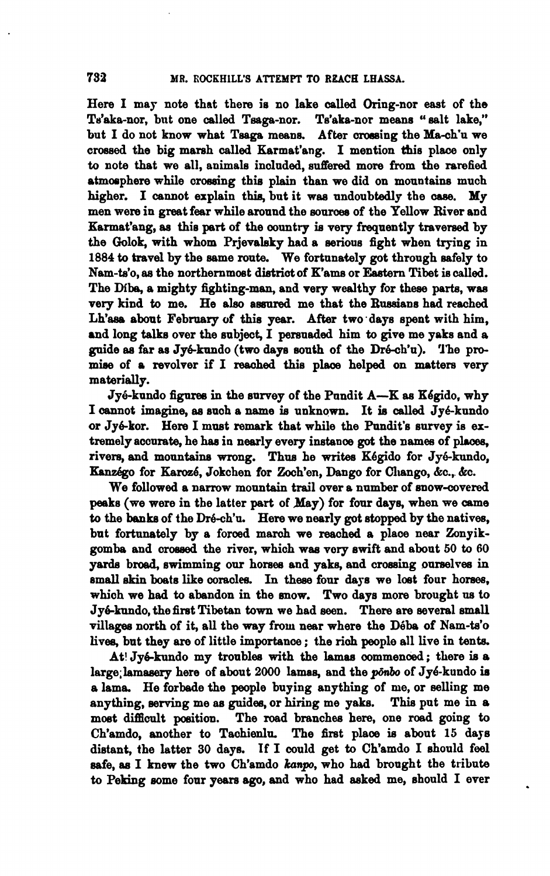Here I may note that there is no lake called Oring-nor east of the Te'aka-nor, but one called Teaga-nor. Te'aka-nor means " salt lake," but I do not know what Tsaga means. After crossing the Ma-ch'u we crossed the big marsh called Karmat'ang. I mention thia place only to note that we all, animals included, suffered more from the rarefied atmosphere while crossing this plain than we did on mountains much higher. I cannot explain this, but it was undoubtedly the case. My men were in great fear while around the **sourcea** of the Yellow River and Karmat'ang, aa this **pert** of the oountry **ia** very frequently traversed by the Golok, with whom Prjevalsky had a serious fight when trying in **1884** to travel by the same **route.** We fortunetely **got** through safely to Nam-ts'o, as the northernmost district of K'ams or Eastern Tibet is called. The **Mbe,** a mighty fighting-man, and very wealthy for these **parts,** waa very kind to me. He also assured me that the Russians had reached Lh'asa about February of this year. After two days spent with him, and long talks over the subject, I persuaded him to give me yaks and a guide as far as Jyé-kundo (two days south of the Dré-ch'u). The promise of a revolver if I **reaohed** this plaoe helped on matters very materially.

Jyé-kundo figures in the survey of the Pundit A-K as Kégido, why I mot imagine, ee such a name **ia** unknown. It **is called** Jy&kundo or Jyekor. Here I must remark that while the Pundit's survey is **ex**tremely accurate, he has in nearly every instance got the names of places, rivers, and mountains wrong. Thus he writes Kégido for Jyé-kundo, Kanzégo for Karozé, Jokchen for Zoch'en, Dango for Chango, &c., &c.

We followed a narrow mountain trail over a number of snow-covered peaks (we were in the latter part of May) for four days, when we came to the banks of the Dré-ch'u. Here we nearly got stopped by the natives, but fortunately by a foroed march we reached a place near Zonyikgomba and crossed the river, which was very swift and about 50 to 60 **yards** broad, swimming our horsee and yaks, and crossing oareelvea in small skin boats like coracles. In these four days we lost four horses, which we had to abandon in the mow. Two days more brought **us** to Jy&kundo,the first Tibetan **town** we had seen. There are several **small**  villages north of it, all the way from near where the Déba of Nam-ts'o lives, but they **are** of little importanoe ; the **rioh** people all live in tents.

At! Jyé-kundo my troubles with the lamas commenced; there is a large; lamasery here of about 2000 lamas, and the ponbo of Jyé-kundo is a lama. He forbade the people buying anything of me, or selling me anything, serving me ae guidea, or hiring me yaks. This put me in *8*  most difficult position. The road branches here, one road going to Ch'amdo, another to Tachienlu. The first plaoe is about **15** daje distant, the latter 30 daye. If I could get to Ch'amdo I should feel eafe, **aa** I knew the two Ch'amdo **kunpo,** who had brought the tribute to Peking some four years **ago,** and who had **asked** me, ehould I ever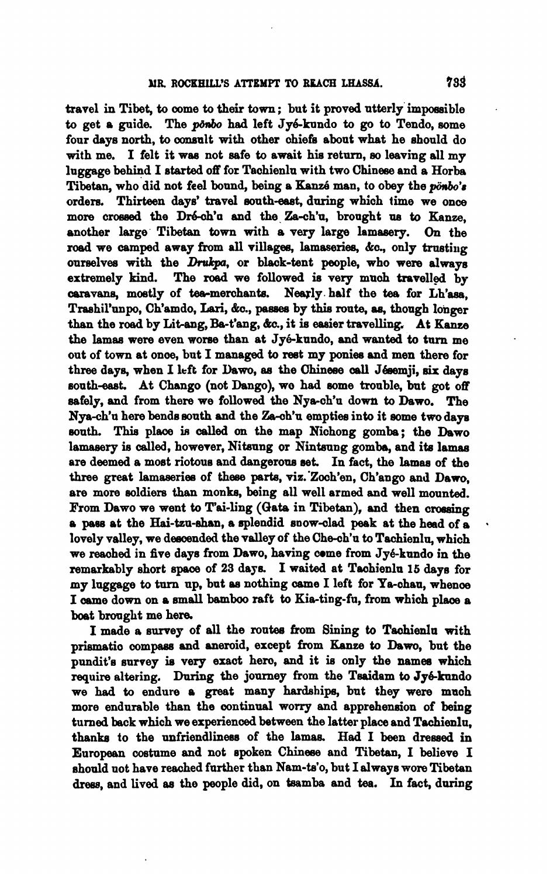travel in Tibet, to come to their town; but it proved utterly impossible to get a guide. The *ponbo* had left Jyé-kundo to go to Tendo, some four days north, to consult with other chiefs about what he should do with me. I felt it was not safe to await his return, so leaving all  $m\mathbf{v}$ luggage behiid I started off for Tachienlu with two Chinese and a Horba Tibetan, who did not feel bound, being a Kanzé man, to obey the *ponbo's* orders. Thirteen days' travel south-east, during which time we once more crossed the Dré-ch'u and the Za-ch'u, brought us to Kanze, another large Tibetan town with a very large lamasery. On the road we camped away from all villages, lamaseries, &c., only trusting ourselves with the Drukpa, or black-tent people, who were always extremely kind. The **roed** we followed is very much travelled by caravans, mostly of tea-merchants. Nearly half the tea for Lh'ass. Trashil'unpo, Ch'amdo, Lari, &c., passes by this route, as, though longer than the road by Lit-ang, Ba-t'ang, &c., it is easier travelling. At Kanze the lamas were even worse than at Jyé-kundo, and wanted to turn me out of town at once, but I managed to rest my ponies and men there for three days, when I left for Dawo, as the Chinese call Jésemji, six days south-east. At Chango (not Dango), we had some trouble, but got off safely, and from there we followed the Nya-ch'u down to Dawo. The Nya-ch'u here bends south and the Za-ch'u empties into it some two days south. This place is called on the map Nichong gomba; the Dawo lamasery is called, however, Nitsung or Nintsung gomba, and its lamas are deemed a moat riotoua and dangerom **set.** In tact, the **kmaa** of the three great lamaseries of these parts, viz. Zooh'en, Ch'ango and Dawo. are more soldiers than monks, being all well armed and well mounted. From Dawo we went to T'ai-ling (Gata in Tibetan), and then crossing <sup>a</sup>**pacre** at the **Hai-ten-ehan,** a splendid anow-clad peek at the head of **a** . lovely valley, we descended the valley of the Che-ch'u to Tachienlu, which we reached in five days from Dawo, having come from Jyé-kundo in the remarkably short space of 23 days. I waited at Tachienlu 15 days for my luggage to turn up, bat **aa** nothing came I left for Ye-chau, whenoe I oame down on a amall **bamboo** raft to Kia-ting-fa, from which plaoe a boat brought me here.

I made **a** awey of all the routee brom 8ining **to** Taohienla with prismatic compass and aneroid, except from Kanze to Dawo, but the pundit's survey ie very exact hero, and it **is** only the **name8** which require altering. During the journey from the Tsaidam to Jyé-kundo we had to endure a great many hardahipe, but they were muoh more endurable than the continual worry and apprehension of being turned back which we experienced between the latter place and Tachienlu. thanks to the unfriendliness of the lamas. Had I been dressed in European coetume and not apoken Chineee and Tibetan, I believe I ahoald not have reached further than Nam-ta'o, but I always wore Tibetan dress, and lived as the people did, on tsamba and tea. In fact, during